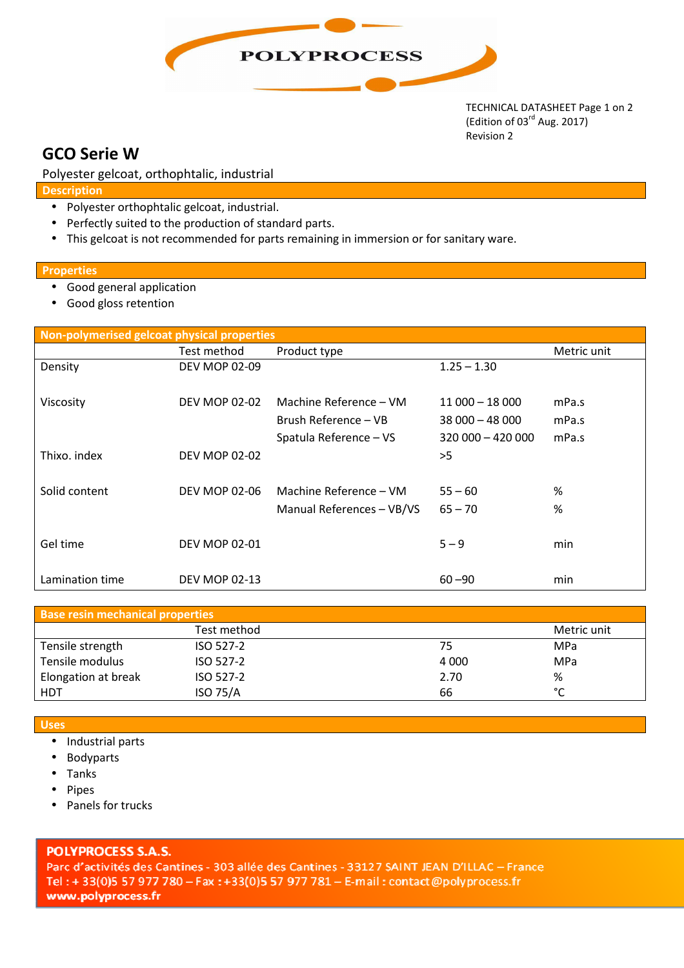

TECHNICAL DATASHEET Page 1 on 2 (Edition of 03<sup>rd</sup> Aug. 2017) Revision 2

# **GCO Serie W**

Polyester gelcoat, orthophtalic, industrial

**Description**

- Polyester orthophtalic gelcoat, industrial.
- Perfectly suited to the production of standard parts.
- This gelcoat is not recommended for parts remaining in immersion or for sanitary ware.

#### **Properties**

- Good general application
- Good gloss retention

| Non-polymerised gelcoat physical properties |                      |                           |                  |             |  |  |
|---------------------------------------------|----------------------|---------------------------|------------------|-------------|--|--|
|                                             | Test method          | Product type              |                  | Metric unit |  |  |
| Density                                     | <b>DEV MOP 02-09</b> |                           | $1.25 - 1.30$    |             |  |  |
|                                             |                      |                           |                  |             |  |  |
| Viscosity                                   | <b>DEV MOP 02-02</b> | Machine Reference – VM    | $11000 - 18000$  | mPa.s       |  |  |
|                                             |                      | Brush Reference – VB      | $38000 - 48000$  | mPa.s       |  |  |
|                                             |                      | Spatula Reference - VS    | $320000 - 42000$ | mPa.s       |  |  |
| Thixo. index                                | <b>DEV MOP 02-02</b> |                           | >5               |             |  |  |
|                                             |                      |                           |                  |             |  |  |
| Solid content                               | <b>DEV MOP 02-06</b> | Machine Reference – VM    | $55 - 60$        | %           |  |  |
|                                             |                      | Manual References - VB/VS | $65 - 70$        | %           |  |  |
|                                             |                      |                           |                  |             |  |  |
| Gel time                                    | <b>DEV MOP 02-01</b> |                           | $5 - 9$          | min         |  |  |
|                                             |                      |                           |                  |             |  |  |
| Lamination time                             | <b>DEV MOP 02-13</b> |                           | $60 - 90$        | min         |  |  |

| <b>Base resin mechanical properties</b> |                 |         |             |  |  |
|-----------------------------------------|-----------------|---------|-------------|--|--|
|                                         | Test method     |         | Metric unit |  |  |
| Tensile strength                        | ISO 527-2       | 75      | MPa         |  |  |
| Tensile modulus                         | ISO 527-2       | 4 0 0 0 | <b>MPa</b>  |  |  |
| Elongation at break                     | ISO 527-2       | 2.70    | %           |  |  |
| <b>HDT</b>                              | <b>ISO 75/A</b> | 66      | $\sim$      |  |  |

- **Uses**
	- Industrial parts
	- Bodyparts
	- Tanks
	- Pipes
	- Panels for trucks

### **POLYPROCESS S.A.S.**

Parc d'activités des Cantines - 303 allée des Cantines - 33127 SAINT JEAN D'ILLAC - France Tel: +33(0)5 57 977 780 - Fax: +33(0)5 57 977 781 - E-mail: contact@polyprocess.fr www.polyprocess.fr